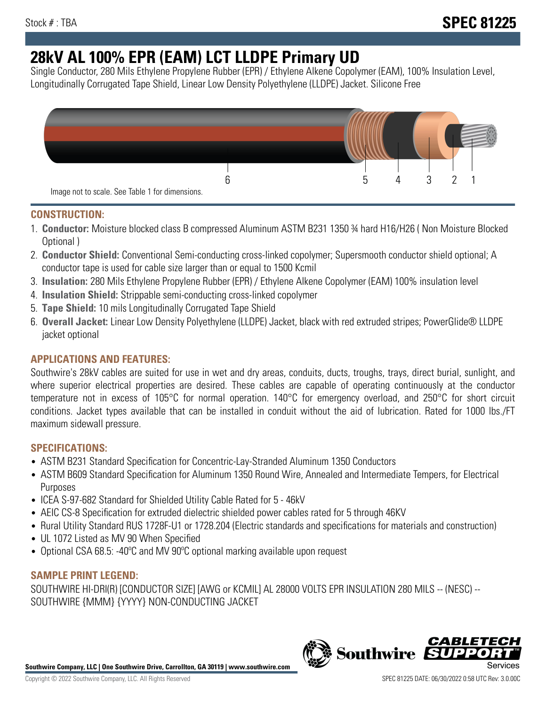# **28kV AL 100% EPR (EAM) LCT LLDPE Primary UD**

Single Conductor, 280 Mils Ethylene Propylene Rubber (EPR) / Ethylene Alkene Copolymer (EAM), 100% Insulation Level, Longitudinally Corrugated Tape Shield, Linear Low Density Polyethylene (LLDPE) Jacket. Silicone Free



## **CONSTRUCTION:**

- 1. **Conductor:** Moisture blocked class B compressed Aluminum ASTM B231 1350 ¾ hard H16/H26 ( Non Moisture Blocked Optional )
- 2. **Conductor Shield:** Conventional Semi-conducting cross-linked copolymer; Supersmooth conductor shield optional; A conductor tape is used for cable size larger than or equal to 1500 Kcmil
- 3. **Insulation:** 280 Mils Ethylene Propylene Rubber (EPR) / Ethylene Alkene Copolymer (EAM) 100% insulation level
- 4. **Insulation Shield:** Strippable semi-conducting cross-linked copolymer
- 5. **Tape Shield:** 10 mils Longitudinally Corrugated Tape Shield
- 6. **Overall Jacket:** Linear Low Density Polyethylene (LLDPE) Jacket, black with red extruded stripes; PowerGlide® LLDPE jacket optional

# **APPLICATIONS AND FEATURES:**

Southwire's 28kV cables are suited for use in wet and dry areas, conduits, ducts, troughs, trays, direct burial, sunlight, and where superior electrical properties are desired. These cables are capable of operating continuously at the conductor temperature not in excess of 105°C for normal operation. 140°C for emergency overload, and 250°C for short circuit conditions. Jacket types available that can be installed in conduit without the aid of lubrication. Rated for 1000 lbs./FT maximum sidewall pressure.

## **SPECIFICATIONS:**

- ASTM B231 Standard Specification for Concentric-Lay-Stranded Aluminum 1350 Conductors
- ASTM B609 Standard Specification for Aluminum 1350 Round Wire, Annealed and Intermediate Tempers, for Electrical Purposes
- ICEA S-97-682 Standard for Shielded Utility Cable Rated for 5 46kV
- AEIC CS-8 Specification for extruded dielectric shielded power cables rated for 5 through 46KV
- Rural Utility Standard RUS 1728F-U1 or 1728.204 (Electric standards and specifications for materials and construction)
- UL 1072 Listed as MV 90 When Specified
- Optional CSA 68.5: -40ºC and MV 90ºC optional marking available upon request

## **SAMPLE PRINT LEGEND:**

SOUTHWIRE HI-DRI(R) [CONDUCTOR SIZE] [AWG or KCMIL] AL 28000 VOLTS EPR INSULATION 280 MILS -- (NESC) -- SOUTHWIRE {MMM} {YYYY} NON-CONDUCTING JACKET



**Southwire** 

*CABLE*